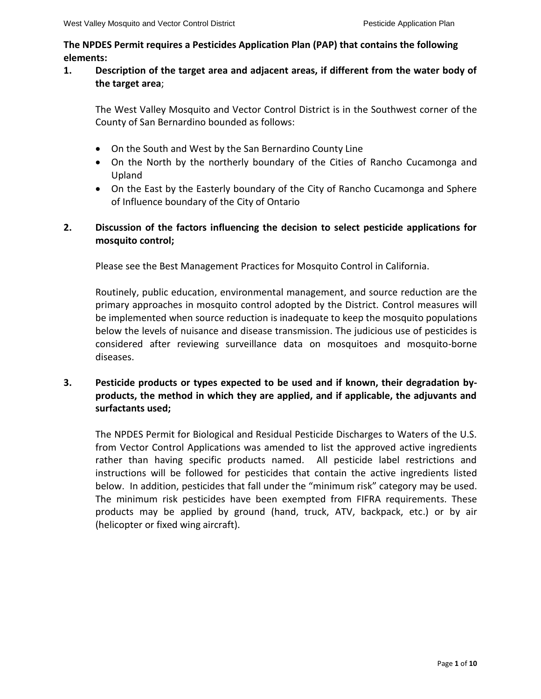### **The NPDES Permit requires a Pesticides Application Plan (PAP) that contains the following elements:**

## **1. Description of the target area and adjacent areas, if different from the water body of the target area**;

The West Valley Mosquito and Vector Control District is in the Southwest corner of the County of San Bernardino bounded as follows:

- On the South and West by the San Bernardino County Line
- On the North by the northerly boundary of the Cities of Rancho Cucamonga and Upland
- On the East by the Easterly boundary of the City of Rancho Cucamonga and Sphere of Influence boundary of the City of Ontario

# **2. Discussion of the factors influencing the decision to select pesticide applications for mosquito control;**

Please see the Best Management Practices for Mosquito Control in California.

Routinely, public education, environmental management, and source reduction are the primary approaches in mosquito control adopted by the District. Control measures will be implemented when source reduction is inadequate to keep the mosquito populations below the levels of nuisance and disease transmission. The judicious use of pesticides is considered after reviewing surveillance data on mosquitoes and mosquito-borne diseases.

# **3. Pesticide products or types expected to be used and if known, their degradation byproducts, the method in which they are applied, and if applicable, the adjuvants and surfactants used;**

The NPDES Permit for Biological and Residual Pesticide Discharges to Waters of the U.S. from Vector Control Applications was amended to list the approved active ingredients rather than having specific products named. All pesticide label restrictions and instructions will be followed for pesticides that contain the active ingredients listed below. In addition, pesticides that fall under the "minimum risk" category may be used. The minimum risk pesticides have been exempted from FIFRA requirements. These products may be applied by ground (hand, truck, ATV, backpack, etc.) or by air (helicopter or fixed wing aircraft).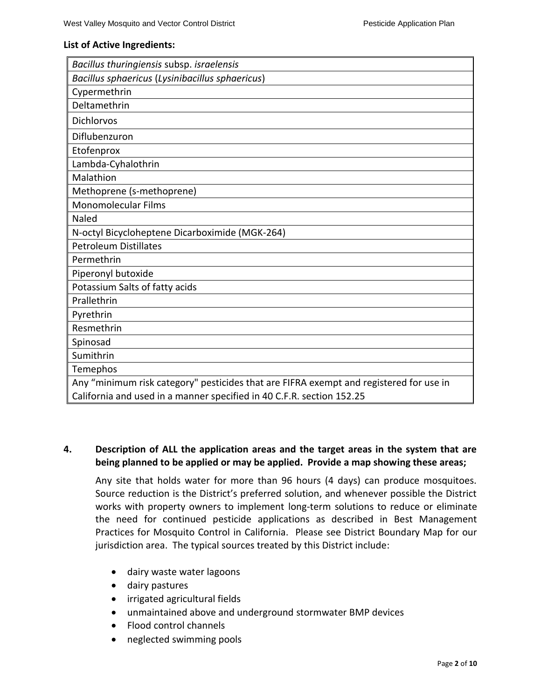### **List of Active Ingredients:**

| Bacillus thuringiensis subsp. israelensis                                              |
|----------------------------------------------------------------------------------------|
| Bacillus sphaericus (Lysinibacillus sphaericus)                                        |
| Cypermethrin                                                                           |
| Deltamethrin                                                                           |
| Dichlorvos                                                                             |
| Diflubenzuron                                                                          |
| Etofenprox                                                                             |
| Lambda-Cyhalothrin                                                                     |
| Malathion                                                                              |
| Methoprene (s-methoprene)                                                              |
| <b>Monomolecular Films</b>                                                             |
| Naled                                                                                  |
| N-octyl Bicycloheptene Dicarboximide (MGK-264)                                         |
| <b>Petroleum Distillates</b>                                                           |
| Permethrin                                                                             |
| Piperonyl butoxide                                                                     |
| Potassium Salts of fatty acids                                                         |
| Prallethrin                                                                            |
| Pyrethrin                                                                              |
| Resmethrin                                                                             |
| Spinosad                                                                               |
| Sumithrin                                                                              |
| Temephos                                                                               |
| Any "minimum risk category" pesticides that are FIFRA exempt and registered for use in |
| California and used in a manner specified in 40 C.F.R. section 152.25                  |

### **4. Description of ALL the application areas and the target areas in the system that are being planned to be applied or may be applied. Provide a map showing these areas;**

Any site that holds water for more than 96 hours (4 days) can produce mosquitoes. Source reduction is the District's preferred solution, and whenever possible the District works with property owners to implement long-term solutions to reduce or eliminate the need for continued pesticide applications as described in Best Management Practices for Mosquito Control in California. Please see District Boundary Map for our jurisdiction area. The typical sources treated by this District include:

- dairy waste water lagoons
- dairy pastures
- irrigated agricultural fields
- unmaintained above and underground stormwater BMP devices
- Flood control channels
- neglected swimming pools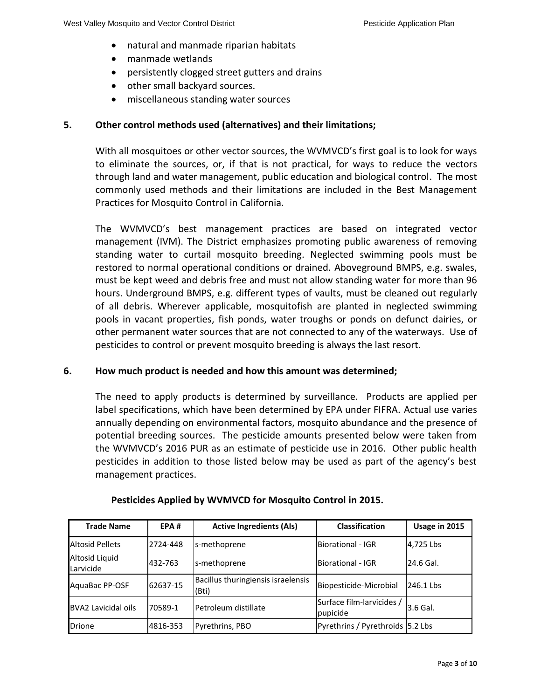- natural and manmade riparian habitats
- manmade wetlands
- persistently clogged street gutters and drains
- other small backyard sources.
- miscellaneous standing water sources

### **5. Other control methods used (alternatives) and their limitations;**

With all mosquitoes or other vector sources, the WVMVCD's first goal is to look for ways to eliminate the sources, or, if that is not practical, for ways to reduce the vectors through land and water management, public education and biological control. The most commonly used methods and their limitations are included in the Best Management Practices for Mosquito Control in California.

The WVMVCD's best management practices are based on integrated vector management (IVM). The District emphasizes promoting public awareness of removing standing water to curtail mosquito breeding. Neglected swimming pools must be restored to normal operational conditions or drained. Aboveground BMPS, e.g. swales, must be kept weed and debris free and must not allow standing water for more than 96 hours. Underground BMPS, e.g. different types of vaults, must be cleaned out regularly of all debris. Wherever applicable, mosquitofish are planted in neglected swimming pools in vacant properties, fish ponds, water troughs or ponds on defunct dairies, or other permanent water sources that are not connected to any of the waterways. Use of pesticides to control or prevent mosquito breeding is always the last resort.

### **6. How much product is needed and how this amount was determined;**

The need to apply products is determined by surveillance. Products are applied per label specifications, which have been determined by EPA under FIFRA. Actual use varies annually depending on environmental factors, mosquito abundance and the presence of potential breeding sources. The pesticide amounts presented below were taken from the WVMVCD's 2016 PUR as an estimate of pesticide use in 2016. Other public health pesticides in addition to those listed below may be used as part of the agency's best management practices.

| <b>Trade Name</b>                  | EPA#     | <b>Active Ingredients (AIs)</b>             | <b>Classification</b>                 | Usage in 2015 |
|------------------------------------|----------|---------------------------------------------|---------------------------------------|---------------|
| <b>Altosid Pellets</b>             | 2724-448 | ls-methoprene                               | Biorational - IGR                     | 4,725 Lbs     |
| <b>Altosid Liquid</b><br>Larvicide | 432-763  | s-methoprene                                | Biorational - IGR                     | 24.6 Gal.     |
| AquaBac PP-OSF                     | 62637-15 | Bacillus thuringiensis israelensis<br>(Bti) | Biopesticide-Microbial                | 246.1 Lbs     |
| BVA2 Lavicidal oils                | 70589-1  | lPetroleum distillate                       | Surface film-larvicides /<br>pupicide | 3.6 Gal.      |
| <b>Drione</b>                      | 4816-353 | Pyrethrins, PBO                             | Pyrethrins / Pyrethroids 5.2 Lbs      |               |

### **Pesticides Applied by WVMVCD for Mosquito Control in 2015.**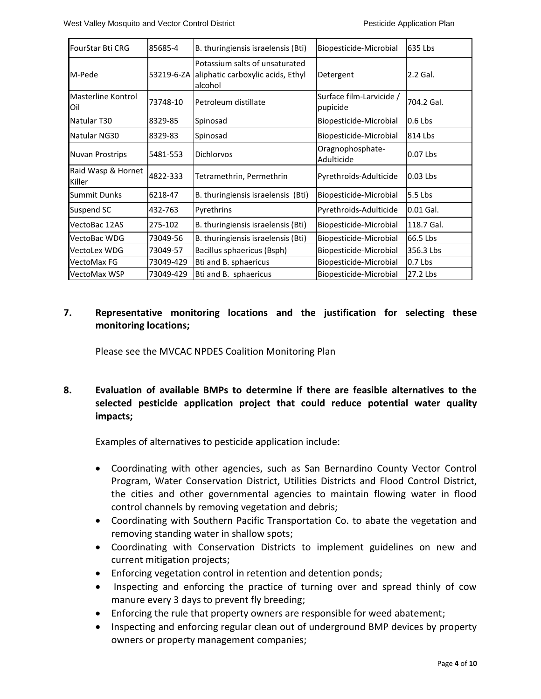| FourStar Bti CRG             | 85685-4    | B. thuringiensis israelensis (Bti)                                             | Biopesticide-Microbial               | 635 Lbs    |
|------------------------------|------------|--------------------------------------------------------------------------------|--------------------------------------|------------|
| M-Pede                       | 53219-6-ZA | Potassium salts of unsaturated<br>aliphatic carboxylic acids, Ethyl<br>alcohol | Detergent                            | 2.2 Gal.   |
| Masterline Kontrol<br>Oil    | 73748-10   | Petroleum distillate                                                           | Surface film-Larvicide /<br>pupicide | 704.2 Gal. |
| Natular T30                  | 8329-85    | Spinosad                                                                       | Biopesticide-Microbial               | $0.6$ Lbs  |
| Natular NG30                 | 8329-83    | Spinosad                                                                       | Biopesticide-Microbial               | 814 Lbs    |
| <b>Nuvan Prostrips</b>       | 5481-553   | <b>Dichlorvos</b>                                                              | Oragnophosphate-<br>Adulticide       | 0.07 Lbs   |
| Raid Wasp & Hornet<br>Killer | 4822-333   | Tetramethrin, Permethrin                                                       | Pyrethroids-Adulticide               | 0.03 Lbs   |
| <b>Summit Dunks</b>          | 6218-47    | B. thuringiensis israelensis (Bti)                                             | Biopesticide-Microbial               | 5.5 Lbs    |
| Suspend SC                   | 432-763    | Pyrethrins                                                                     | Pyrethroids-Adulticide               | 0.01 Gal.  |
| VectoBac 12AS                | 275-102    | B. thuringiensis israelensis (Bti)                                             | Biopesticide-Microbial               | 118.7 Gal. |
| VectoBac WDG                 | 73049-56   | B. thuringiensis israelensis (Bti)                                             | Biopesticide-Microbial               | 66.5 Lbs   |
| <b>VectoLex WDG</b>          | 73049-57   | Bacillus sphaericus (Bsph)                                                     | Biopesticide-Microbial               | 356.3 Lbs  |
| <b>VectoMax FG</b>           | 73049-429  | Bti and B. sphaericus                                                          | Biopesticide-Microbial               | 0.7 Lbs    |
| <b>VectoMax WSP</b>          | 73049-429  | Bti and B. sphaericus                                                          | Biopesticide-Microbial               | 27.2 Lbs   |

# **7. Representative monitoring locations and the justification for selecting these monitoring locations;**

Please see the MVCAC NPDES Coalition Monitoring Plan

# **8. Evaluation of available BMPs to determine if there are feasible alternatives to the selected pesticide application project that could reduce potential water quality impacts;**

Examples of alternatives to pesticide application include:

- Coordinating with other agencies, such as San Bernardino County Vector Control Program, Water Conservation District, Utilities Districts and Flood Control District, the cities and other governmental agencies to maintain flowing water in flood control channels by removing vegetation and debris;
- Coordinating with Southern Pacific Transportation Co. to abate the vegetation and removing standing water in shallow spots;
- Coordinating with Conservation Districts to implement guidelines on new and current mitigation projects;
- Enforcing vegetation control in retention and detention ponds;
- Inspecting and enforcing the practice of turning over and spread thinly of cow manure every 3 days to prevent fly breeding;
- Enforcing the rule that property owners are responsible for weed abatement;
- Inspecting and enforcing regular clean out of underground BMP devices by property owners or property management companies;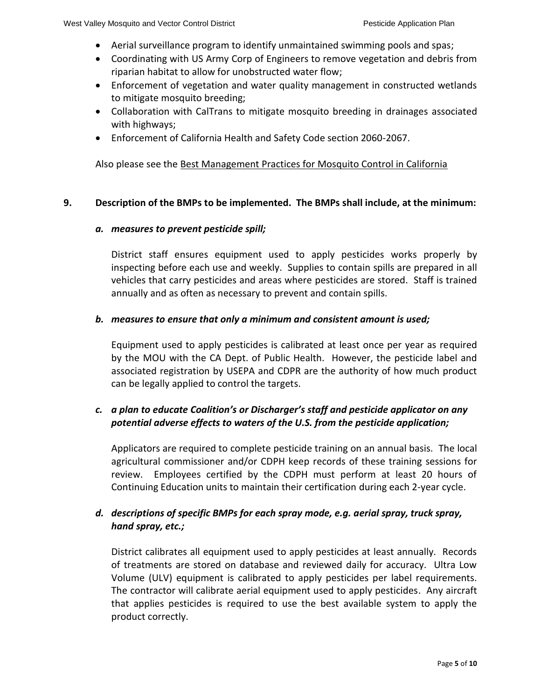- Aerial surveillance program to identify unmaintained swimming pools and spas;
- Coordinating with US Army Corp of Engineers to remove vegetation and debris from riparian habitat to allow for unobstructed water flow;
- Enforcement of vegetation and water quality management in constructed wetlands to mitigate mosquito breeding;
- Collaboration with CalTrans to mitigate mosquito breeding in drainages associated with highways;
- Enforcement of California Health and Safety Code section 2060-2067.

Also please see the Best Management Practices for Mosquito Control in California

### **9. Description of the BMPs to be implemented. The BMPs shall include, at the minimum:**

#### *a. measures to prevent pesticide spill;*

District staff ensures equipment used to apply pesticides works properly by inspecting before each use and weekly. Supplies to contain spills are prepared in all vehicles that carry pesticides and areas where pesticides are stored. Staff is trained annually and as often as necessary to prevent and contain spills.

#### *b. measures to ensure that only a minimum and consistent amount is used;*

Equipment used to apply pesticides is calibrated at least once per year as required by the MOU with the CA Dept. of Public Health. However, the pesticide label and associated registration by USEPA and CDPR are the authority of how much product can be legally applied to control the targets.

# *c. a plan to educate Coalition's or Discharger's staff and pesticide applicator on any potential adverse effects to waters of the U.S. from the pesticide application;*

Applicators are required to complete pesticide training on an annual basis. The local agricultural commissioner and/or CDPH keep records of these training sessions for review. Employees certified by the CDPH must perform at least 20 hours of Continuing Education units to maintain their certification during each 2-year cycle.

# *d. descriptions of specific BMPs for each spray mode, e.g. aerial spray, truck spray, hand spray, etc.;*

District calibrates all equipment used to apply pesticides at least annually. Records of treatments are stored on database and reviewed daily for accuracy. Ultra Low Volume (ULV) equipment is calibrated to apply pesticides per label requirements. The contractor will calibrate aerial equipment used to apply pesticides. Any aircraft that applies pesticides is required to use the best available system to apply the product correctly.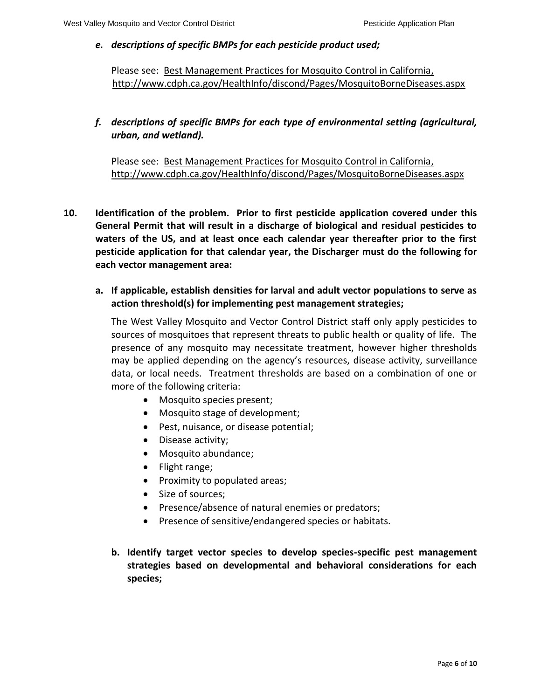### *e. descriptions of specific BMPs for each pesticide product used;*

Please see: Best Management Practices for Mosquito Control in California, http://www.cdph.ca.gov/HealthInfo/discond/Pages/MosquitoBorneDiseases.aspx

# *f. descriptions of specific BMPs for each type of environmental setting (agricultural, urban, and wetland).*

Please see: Best Management Practices for Mosquito Control in California, http://www.cdph.ca.gov/HealthInfo/discond/Pages/MosquitoBorneDiseases.aspx

- **10. Identification of the problem. Prior to first pesticide application covered under this General Permit that will result in a discharge of biological and residual pesticides to waters of the US, and at least once each calendar year thereafter prior to the first pesticide application for that calendar year, the Discharger must do the following for each vector management area:**
	- **a. If applicable, establish densities for larval and adult vector populations to serve as action threshold(s) for implementing pest management strategies;**

The West Valley Mosquito and Vector Control District staff only apply pesticides to sources of mosquitoes that represent threats to public health or quality of life. The presence of any mosquito may necessitate treatment, however higher thresholds may be applied depending on the agency's resources, disease activity, surveillance data, or local needs. Treatment thresholds are based on a combination of one or more of the following criteria:

- Mosquito species present;
- Mosquito stage of development;
- Pest, nuisance, or disease potential;
- Disease activity;
- Mosquito abundance;
- Flight range;
- Proximity to populated areas;
- Size of sources;
- Presence/absence of natural enemies or predators;
- Presence of sensitive/endangered species or habitats.
- **b. Identify target vector species to develop species-specific pest management strategies based on developmental and behavioral considerations for each species;**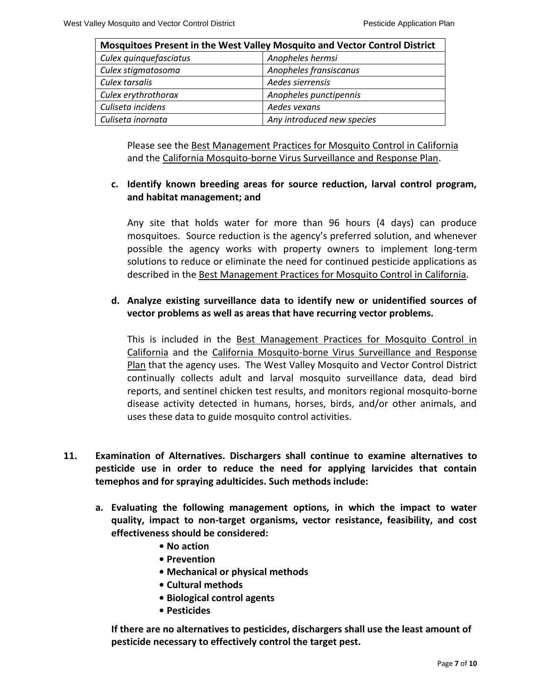| Mosquitoes Present in the West Valley Mosquito and Vector Control District |                            |  |  |  |
|----------------------------------------------------------------------------|----------------------------|--|--|--|
| Culex quinquefasciatus                                                     | Anopheles hermsi           |  |  |  |
| Culex stigmatosoma                                                         | Anopheles fransiscanus     |  |  |  |
| Culex tarsalis                                                             | Aedes sierrensis           |  |  |  |
| Culex erythrothorax                                                        | Anopheles punctipennis     |  |  |  |
| Culiseta incidens                                                          | Aedes vexans               |  |  |  |
| Culiseta inornata                                                          | Any introduced new species |  |  |  |

Please see the Best Management Practices for Mosquito Control in California and the California Mosquito-borne Virus Surveillance and Response Plan.

# **c. Identify known breeding areas for source reduction, larval control program, and habitat management; and**

Any site that holds water for more than 96 hours (4 days) can produce mosquitoes. Source reduction is the agency's preferred solution, and whenever possible the agency works with property owners to implement long-term solutions to reduce or eliminate the need for continued pesticide applications as described in the Best Management Practices for Mosquito Control in California.

# **d. Analyze existing surveillance data to identify new or unidentified sources of vector problems as well as areas that have recurring vector problems.**

This is included in the Best Management Practices for Mosquito Control in California and the California Mosquito-borne Virus Surveillance and Response Plan that the agency uses. The West Valley Mosquito and Vector Control District continually collects adult and larval mosquito surveillance data, dead bird reports, and sentinel chicken test results, and monitors regional mosquito-borne disease activity detected in humans, horses, birds, and/or other animals, and uses these data to guide mosquito control activities.

- **11. Examination of Alternatives. Dischargers shall continue to examine alternatives to pesticide use in order to reduce the need for applying larvicides that contain temephos and for spraying adulticides. Such methods include:**
	- **a. Evaluating the following management options, in which the impact to water quality, impact to non-target organisms, vector resistance, feasibility, and cost effectiveness should be considered:**
		- **No action**
		- **Prevention**
		- **Mechanical or physical methods**
		- **Cultural methods**
		- **Biological control agents**
		- **Pesticides**

**If there are no alternatives to pesticides, dischargers shall use the least amount of pesticide necessary to effectively control the target pest.**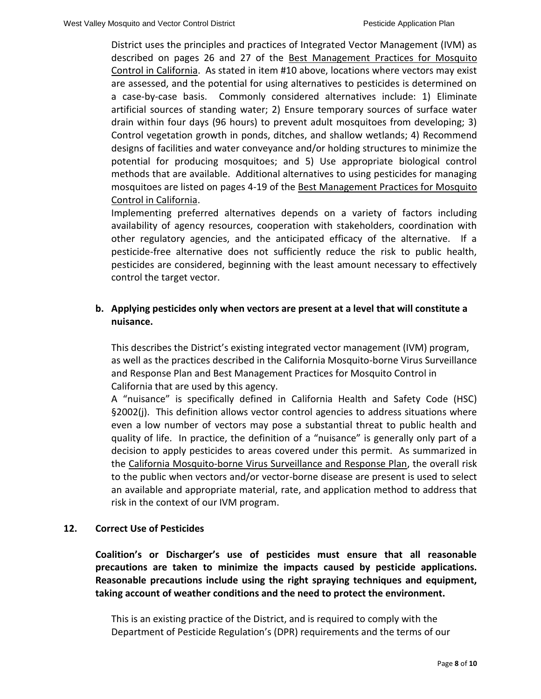District uses the principles and practices of Integrated Vector Management (IVM) as described on pages 26 and 27 of the Best Management Practices for Mosquito Control in California. As stated in item #10 above, locations where vectors may exist are assessed, and the potential for using alternatives to pesticides is determined on a case-by-case basis. Commonly considered alternatives include: 1) Eliminate artificial sources of standing water; 2) Ensure temporary sources of surface water drain within four days (96 hours) to prevent adult mosquitoes from developing; 3) Control vegetation growth in ponds, ditches, and shallow wetlands; 4) Recommend designs of facilities and water conveyance and/or holding structures to minimize the potential for producing mosquitoes; and 5) Use appropriate biological control methods that are available. Additional alternatives to using pesticides for managing mosquitoes are listed on pages 4-19 of the Best Management Practices for Mosquito Control in California.

Implementing preferred alternatives depends on a variety of factors including availability of agency resources, cooperation with stakeholders, coordination with other regulatory agencies, and the anticipated efficacy of the alternative. If a pesticide-free alternative does not sufficiently reduce the risk to public health, pesticides are considered, beginning with the least amount necessary to effectively control the target vector.

# **b. Applying pesticides only when vectors are present at a level that will constitute a nuisance.**

This describes the District's existing integrated vector management (IVM) program, as well as the practices described in the California Mosquito-borne Virus Surveillance and Response Plan and Best Management Practices for Mosquito Control in California that are used by this agency.

A "nuisance" is specifically defined in California Health and Safety Code (HSC) §2002(j). This definition allows vector control agencies to address situations where even a low number of vectors may pose a substantial threat to public health and quality of life. In practice, the definition of a "nuisance" is generally only part of a decision to apply pesticides to areas covered under this permit. As summarized in the California Mosquito-borne Virus Surveillance and Response Plan, the overall risk to the public when vectors and/or vector-borne disease are present is used to select an available and appropriate material, rate, and application method to address that risk in the context of our IVM program.

### **12. Correct Use of Pesticides**

**Coalition's or Discharger's use of pesticides must ensure that all reasonable precautions are taken to minimize the impacts caused by pesticide applications. Reasonable precautions include using the right spraying techniques and equipment, taking account of weather conditions and the need to protect the environment.**

This is an existing practice of the District, and is required to comply with the Department of Pesticide Regulation's (DPR) requirements and the terms of our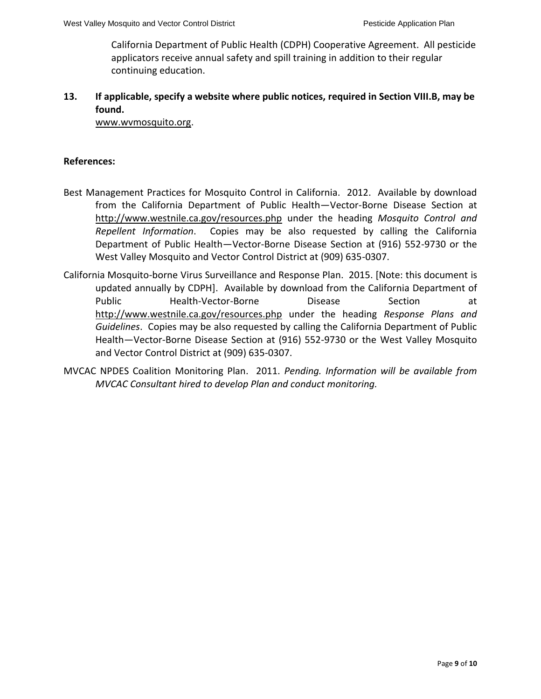California Department of Public Health (CDPH) Cooperative Agreement. All pesticide applicators receive annual safety and spill training in addition to their regular continuing education.

# **13. If applicable, specify a website where public notices, required in Section VIII.B, may be found.**

[www.wvmosquito.org.](http://www.wvmosquito.org/)

### **References:**

- Best Management Practices for Mosquito Control in California. 2012. Available by download from the California Department of Public Health—Vector-Borne Disease Section at <http://www.westnile.ca.gov/resources.php> under the heading *Mosquito Control and Repellent Information*. Copies may be also requested by calling the California Department of Public Health—Vector-Borne Disease Section at (916) 552-9730 or the West Valley Mosquito and Vector Control District at (909) 635-0307.
- California Mosquito-borne Virus Surveillance and Response Plan. 2015. [Note: this document is updated annually by CDPH]. Available by download from the California Department of Public **Health-Vector-Borne** Disease Section at <http://www.westnile.ca.gov/resources.php> under the heading *Response Plans and Guidelines*. Copies may be also requested by calling the California Department of Public Health—Vector-Borne Disease Section at (916) 552-9730 or the West Valley Mosquito and Vector Control District at (909) 635-0307.
- MVCAC NPDES Coalition Monitoring Plan. 2011. *Pending. Information will be available from MVCAC Consultant hired to develop Plan and conduct monitoring.*